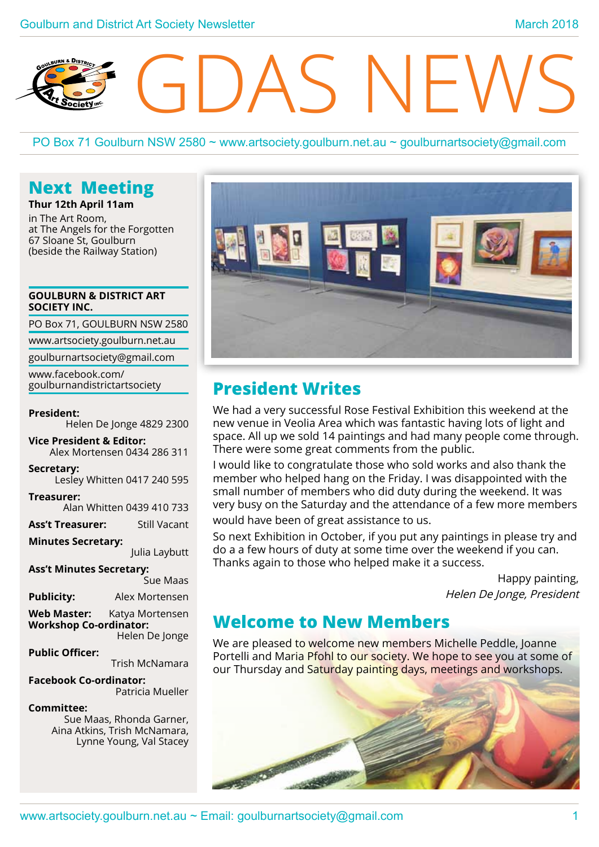# S NFV

PO Box 71 Goulburn NSW 2580 ~ www.artsociety.goulburn.net.au ~ goulburnartsociety@gmail.com

# **Next Meeting**

**Thur 12th April 11am** in The Art Room, at The Angels for the Forgotten 67 Sloane St, Goulburn (beside the Railway Station)

#### **GOULBURN & DISTRICT ART SOCIETY INC.**

PO Box 71, GOULBURN NSW 2580

www.artsociety.goulburn.net.au

goulburnartsociety@gmail.com

www.facebook.com/ goulburnandistrictartsociety

#### **President:**

Helen De Jonge 4829 2300

**Vice President & Editor:**  Alex Mortensen 0434 286 311

#### **Secretary:**

Lesley Whitten 0417 240 595

**Treasurer:**  Alan Whitten 0439 410 733

**Ass't Treasurer:** Still Vacant

#### **Minutes Secretary:**

Julia Laybutt

**Ass't Minutes Secretary:** 

Sue Maas

**Publicity:** Alex Mortensen

**Web Master:** Katya Mortensen **Workshop Co-ordinator:** Helen De Jonge

**Public Officer:** 

Trish McNamara

**Facebook Co-ordinator:** Patricia Mueller

#### **Committee:**

Sue Maas, Rhonda Garner, Aina Atkins, Trish McNamara, Lynne Young, Val Stacey



# **President Writes**

We had a very successful Rose Festival Exhibition this weekend at the new venue in Veolia Area which was fantastic having lots of light and space. All up we sold 14 paintings and had many people come through. There were some great comments from the public.

I would like to congratulate those who sold works and also thank the member who helped hang on the Friday. I was disappointed with the small number of members who did duty during the weekend. It was very busy on the Saturday and the attendance of a few more members would have been of great assistance to us.

So next Exhibition in October, if you put any paintings in please try and do a a few hours of duty at some time over the weekend if you can. Thanks again to those who helped make it a success.

> Happy painting, Helen De Jonge, President

# **Welcome to New Members**

We are pleased to welcome new members Michelle Peddle, Joanne Portelli and Maria Pfohl to our society. We hope to see you at some of our Thursday and Saturday painting days, meetings and workshops.

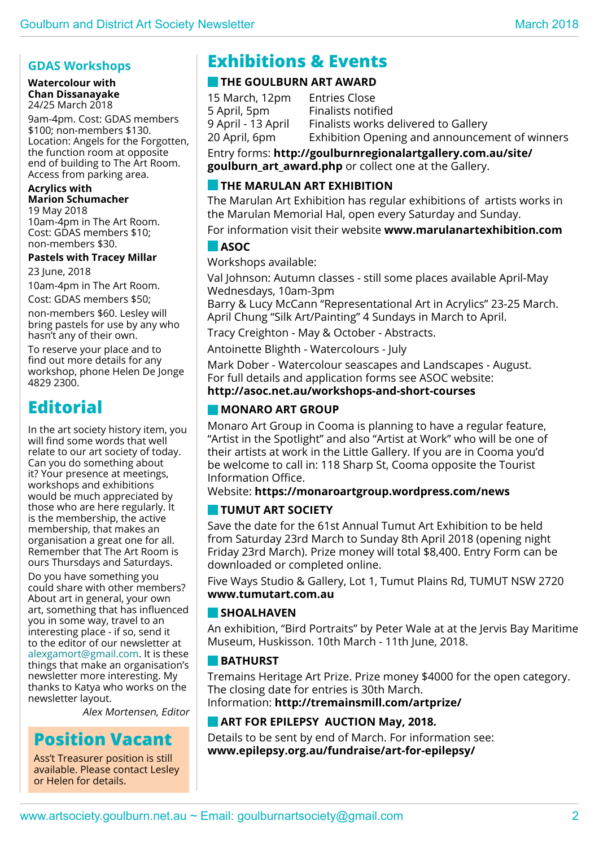#### **GDAS Workshops**

#### **Watercolour with Chan Dissanayake** 24/25 March 2018

9am-4pm. Cost: GDAS members \$100; non-members \$130. Location: Angels for the Forgotten, the function room at opposite end of building to The Art Room. Access from parking area.

#### **Acrylics with**

**Marion Schumacher** 19 May 2018 10am-4pm in The Art Room. Cost: GDAS members \$10; non-members \$30.

#### **Pastels with Tracey Millar**

23 June, 2018

10am-4pm in The Art Room.

Cost: GDAS members \$50; non-members \$60. Lesley will bring pastels for use by any who hasn't any of their own.

To reserve your place and to find out more details for any workshop, phone Helen De Jonge 4829 2300.

# **Editorial**

In the art society history item, you will find some words that well relate to our art society of today. Can you do something about it? Your presence at meetings, workshops and exhibitions would be much appreciated by those who are here regularly. It is the membership, the active membership, that makes an organisation a great one for all. Remember that The Art Room is ours Thursdays and Saturdays.

Do you have something you could share with other members? About art in general, your own art, something that has influenced you in some way, travel to an interesting place - if so, send it to the editor of our newsletter at alexgamort@gmail.com. It is these things that make an organisation's newsletter more interesting. My thanks to Katya who works on the newsletter layout.

Alex Mortensen, Editor

# **Position Vacant**

Ass't Treasurer position is still available. Please contact Lesley or Helen for details.

# **Exhibitions & Events**

#### **THE GOULBURN ART AWARD**

15 March, 12pm Entries Close 5 April, 5pm Finalists notified 9 April - 13 April Finalists works delivered to Gallery 20 April, 6pm Exhibition Opening and announcement of winners

Entry forms: **http://goulburnregionalartgallery.com.au/site/ goulburn\_art\_award.php** or collect one at the Gallery.

#### **THE MARULAN ART EXHIBITION**

The Marulan Art Exhibition has regular exhibitions of artists works in the Marulan Memorial Hal, open every Saturday and Sunday.

For information visit their website **www.marulanartexhibition.com**

#### **ASOC**

Workshops available:

Val Johnson: Autumn classes - still some places available April-May Wednesdays, 10am-3pm

Barry & Lucy McCann "Representational Art in Acrylics" 23-25 March. April Chung "Silk Art/Painting" 4 Sundays in March to April.

Tracy Creighton - May & October - Abstracts.

Antoinette Blighth - Watercolours - July

Mark Dober - Watercolour seascapes and Landscapes - August. For full details and application forms see ASOC website: **http://asoc.net.au/workshops-and-short-courses**

#### **MONARO ART GROUP**

Monaro Art Group in Cooma is planning to have a regular feature, "Artist in the Spotlight" and also "Artist at Work" who will be one of their artists at work in the Little Gallery. If you are in Cooma you'd be welcome to call in: 118 Sharp St, Cooma opposite the Tourist Information Office.

#### Website: **https://monaroartgroup.wordpress.com/news**

#### **Tumut Art Society**

Save the date for the 61st Annual Tumut Art Exhibition to be held from Saturday 23rd March to Sunday 8th April 2018 (opening night Friday 23rd March). Prize money will total \$8,400. Entry Form can be downloaded or completed online.

Five Ways Studio & Gallery, Lot 1, Tumut Plains Rd, TUMUT NSW 2720 **www.tumutart.com.au**

#### **shoalhaven**

An exhibition, "Bird Portraits" by Peter Wale at at the Jervis Bay Maritime Museum, Huskisson. 10th March - 11th June, 2018.

#### **BATHURST**

Tremains Heritage Art Prize. Prize money \$4000 for the open category. The closing date for entries is 30th March.

Information: **http://tremainsmill.com/artprize/**

#### **ART FOR EPILEPSY AUCTION May, 2018.**

Details to be sent by end of March. For information see: **www.epilepsy.org.au/fundraise/art-for-epilepsy/**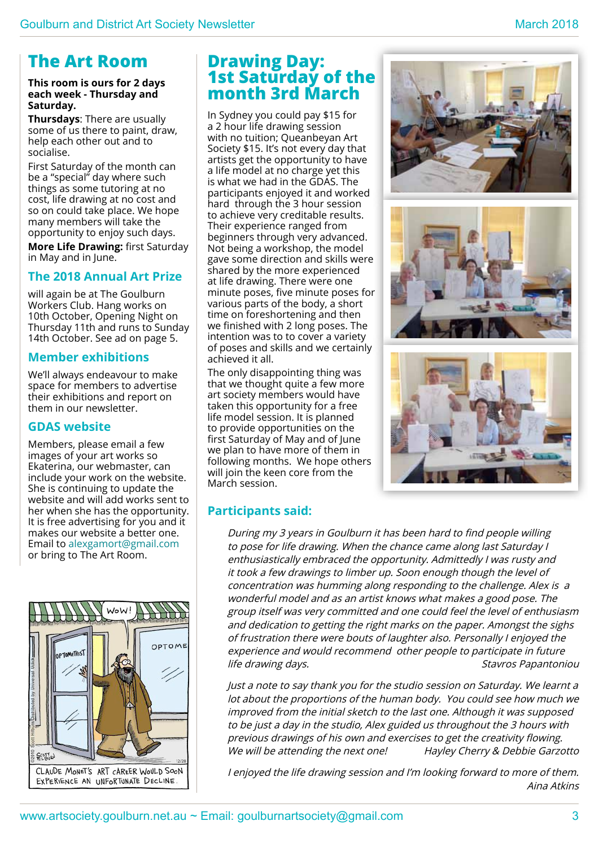# **The Art Room**

#### **This room is ours for 2 days each week - Thursday and Saturday.**

**Thursdays**: There are usually some of us there to paint, draw, help each other out and to socialise.

First Saturday of the month can be a "special" day where such things as some tutoring at no cost, life drawing at no cost and so on could take place. We hope many members will take the opportunity to enjoy such days.

**More Life Drawing:** first Saturday in May and in June.

#### **The 2018 Annual Art Prize**

will again be at The Goulburn Workers Club. Hang works on 10th October, Opening Night on Thursday 11th and runs to Sunday 14th October. See ad on page 5.

#### **Member exhibitions**

We'll always endeavour to make space for members to advertise their exhibitions and report on them in our newsletter.

#### **GDAS website**

Members, please email a few images of your art works so Ekaterina, our webmaster, can include your work on the website. She is continuing to update the website and will add works sent to her when she has the opportunity. It is free advertising for you and it makes our website a better one. Email to alexgamort@gmail.com or bring to The Art Room.



## **Drawing Day: 1st Saturday of the month 3rd March**

In Sydney you could pay \$15 for a 2 hour life drawing session with no tuition; Queanbeyan Art Society \$15. It's not every day that artists get the opportunity to have a life model at no charge yet this is what we had in the GDAS. The participants enjoyed it and worked hard through the 3 hour session to achieve very creditable results. Their experience ranged from beginners through very advanced. Not being a workshop, the model gave some direction and skills were shared by the more experienced at life drawing. There were one minute poses, five minute poses for various parts of the body, a short time on foreshortening and then we finished with 2 long poses. The intention was to to cover a variety of poses and skills and we certainly achieved it all.

The only disappointing thing was that we thought quite a few more art society members would have taken this opportunity for a free life model session. It is planned to provide opportunities on the first Saturday of May and of June we plan to have more of them in following months. We hope others will join the keen core from the March session.





#### **Participants said:**

During my 3 years in Goulburn it has been hard to find people willing to pose for life drawing. When the chance came along last Saturday I enthusiastically embraced the opportunity. Admittedly I was rusty and it took a few drawings to limber up. Soon enough though the level of concentration was humming along responding to the challenge. Alex is a wonderful model and as an artist knows what makes a good pose. The group itself was very committed and one could feel the level of enthusiasm and dedication to getting the right marks on the paper. Amongst the sighs of frustration there were bouts of laughter also. Personally I enjoyed the experience and would recommend other people to participate in future life drawing days. Stavros Papantoniou

Just a note to say thank you for the studio session on Saturday. We learnt a lot about the proportions of the human body. You could see how much we improved from the initial sketch to the last one. Although it was supposed to be just a day in the studio, Alex guided us throughout the 3 hours with previous drawings of his own and exercises to get the creativity flowing. We will be attending the next one! Hayley Cherry & Debbie Garzotto

I enjoyed the life drawing session and I'm looking forward to more of them. Aina Atkins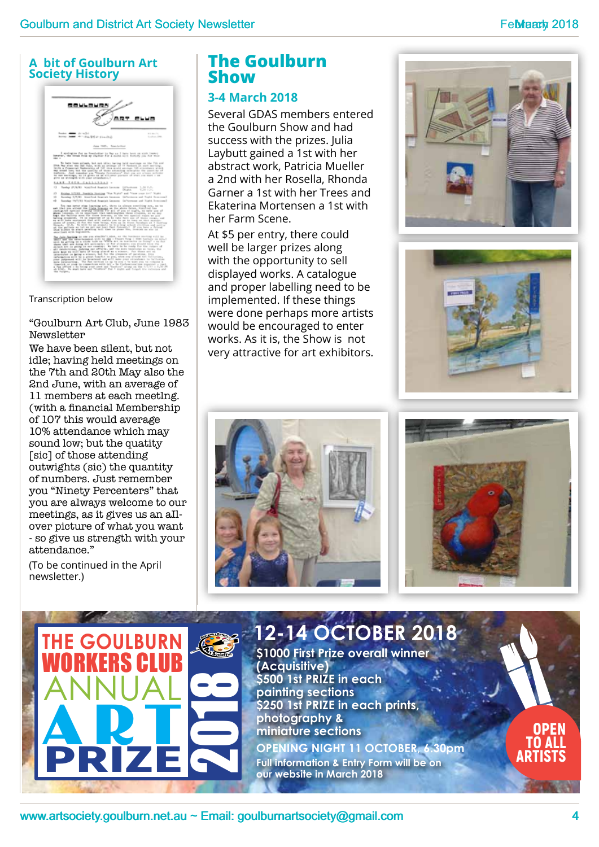#### **A bit of Goulburn Art Society History**



#### Transcription below

#### "Goulburn Art Club, June 1983 Newsletter

We have been silent, but not idle; having held meetings on the 7th and 20th May also the 2nd June, with an average of 11 members at each meetlng. (with a financial Membership of 107 this would average 10% attendance which may sound low; but the quatity [sic] of those attending outwights (sic) the quantity of numbers. Just remember you "Ninety Percenters" that you are always welcome to our meetings, as it gives us an aIlover picture of what you want - so give us strength with your attendance."

(To be continued in the April newsletter.)

## **The Goulburn Show**

#### **3-4 March 2018**

Several GDAS members entered the Goulburn Show and had success with the prizes. Julia Laybutt gained a 1st with her abstract work, Patricia Mueller a 2nd with her Rosella, Rhonda Garner a 1st with her Trees and Ekaterina Mortensen a 1st with her Farm Scene.

At \$5 per entry, there could well be larger prizes along with the opportunity to sell displayed works. A catalogue and proper labelling need to be implemented. If these things were done perhaps more artists would be encouraged to enter works. As it is, the Show is not very attractive for art exhibitors.









# February Websites Coulburn<br>
Society. History<br>
The Goulburn arts of Coulburn<br>
The Goulburn<br>
The Goulburn<br>
MORKERS CLUB<br>
THE GOULBURN<br>
ANNIUAL<br>
COLLER COULBURN<br>
ANNIUAL<br>
COLLER COULBURN<br>
ANNIUAL<br>
COLLER COULBURN<br>
COLLER COUL **\$1000 First Prize overall winner (Acquisitive) \$500 1st Prize in each painting sections \$250 1st Prize in each prints, photography & miniature sections The Goulburn**  Workers Club ANNUAL **ART** Prize 2018 Open to all **OPENING NIGHT 11 OCTOBER, 6.30pm Full information & Entry Form will be on 12-14 October 2018**

**our website in March 2018**

www.artsociety.goulburn.net.au ~ Email: goulburnartsociety@gmail.com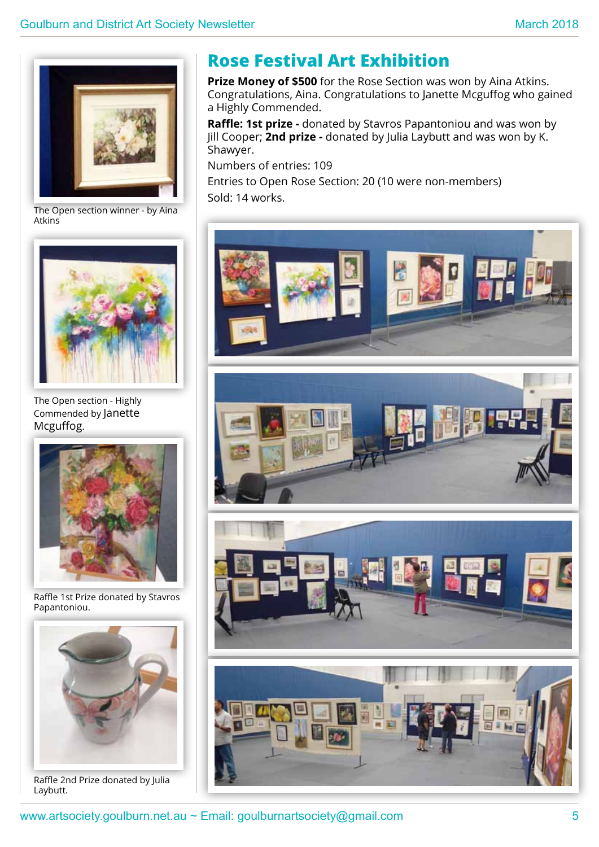

The Open section winner - by Aina **Atkins** 



The Open section - Highly Commended by Janette Mcguffog.



Raffle 1st Prize donated by Stavros Papantoniou.



Raffle 2nd Prize donated by Julia Laybutt.

# **Rose Festival Art Exhibition**

**Prize Money of \$500** for the Rose Section was won by Aina Atkins. Congratulations, Aina. Congratulations to Janette Mcguffog who gained a Highly Commended.

**Raffle: 1st prize -** donated by Stavros Papantoniou and was won by Jill Cooper; **2nd prize -** donated by Julia Laybutt and was won by K. Shawyer.

Numbers of entries: 109

Entries to Open Rose Section: 20 (10 were non-members) Sold: 14 works.